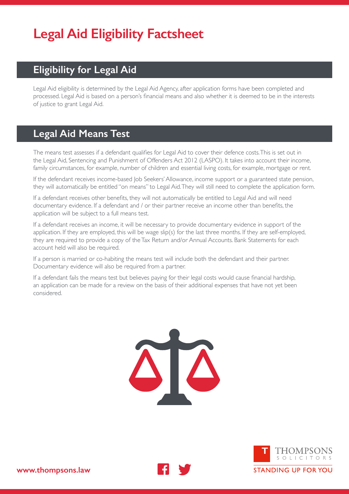# **Legal Aid Eligibility Factsheet**

## **Eligibility for Legal Aid**

Legal Aid eligibility is determined by the Legal Aid Agency, after application forms have been completed and processed. Legal Aid is based on a person's financial means and also whether it is deemed to be in the interests of justice to grant Legal Aid.

### **Legal Aid Means Test**

The means test assesses if a defendant qualifies for Legal Aid to cover their defence costs. This is set out in the Legal Aid, Sentencing and Punishment of Offenders Act 2012 (LASPO). It takes into account their income, family circumstances, for example, number of children and essential living costs, for example, mortgage or rent.

If the defendant receives income-based Job Seekers' Allowance, income support or a guaranteed state pension, they will automatically be entitled "on means" to Legal Aid. They will still need to complete the application form.

If a defendant receives other benefits, they will not automatically be entitled to Legal Aid and will need documentary evidence. If a defendant and / or their partner receive an income other than benefits, the application will be subject to a full means test.

If a defendant receives an income, it will be necessary to provide documentary evidence in support of the application. If they are employed, this will be wage slip(s) for the last three months. If they are self-employed, they are required to provide a copy of the Tax Return and/or Annual Accounts. Bank Statements for each account held will also be required.

If a person is married or co-habiting the means test will include both the defendant and their partner. Documentary evidence will also be required from a partner.

If a defendant fails the means test but believes paying for their legal costs would cause financial hardship, an application can be made for a review on the basis of their additional expenses that have not yet been considered.